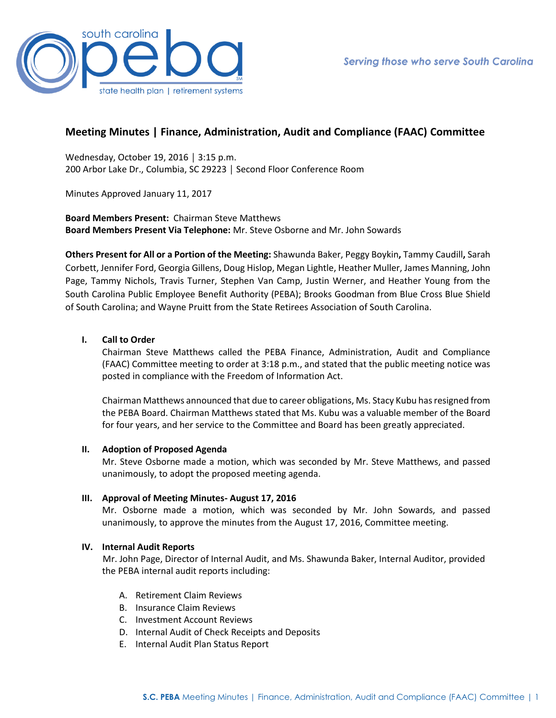

# **Meeting Minutes | Finance, Administration, Audit and Compliance (FAAC) Committee**

Wednesday, October 19, 2016 │ 3:15 p.m. 200 Arbor Lake Dr., Columbia, SC 29223 │ Second Floor Conference Room

Minutes Approved January 11, 2017

**Board Members Present:** Chairman Steve Matthews **Board Members Present Via Telephone:** Mr. Steve Osborne and Mr. John Sowards

**Others Present for All or a Portion of the Meeting:** Shawunda Baker, Peggy Boykin**,** Tammy Caudill**,** Sarah Corbett, Jennifer Ford, Georgia Gillens, Doug Hislop, Megan Lightle, Heather Muller, James Manning, John Page, Tammy Nichols, Travis Turner, Stephen Van Camp, Justin Werner, and Heather Young from the South Carolina Public Employee Benefit Authority (PEBA); Brooks Goodman from Blue Cross Blue Shield of South Carolina; and Wayne Pruitt from the State Retirees Association of South Carolina.

# **I. Call to Order**

Chairman Steve Matthews called the PEBA Finance, Administration, Audit and Compliance (FAAC) Committee meeting to order at 3:18 p.m., and stated that the public meeting notice was posted in compliance with the Freedom of Information Act.

Chairman Matthews announced that due to career obligations, Ms. Stacy Kubu has resigned from the PEBA Board. Chairman Matthews stated that Ms. Kubu was a valuable member of the Board for four years, and her service to the Committee and Board has been greatly appreciated.

### **II. Adoption of Proposed Agenda**

Mr. Steve Osborne made a motion, which was seconded by Mr. Steve Matthews, and passed unanimously, to adopt the proposed meeting agenda.

### **III. Approval of Meeting Minutes- August 17, 2016**

Mr. Osborne made a motion, which was seconded by Mr. John Sowards, and passed unanimously, to approve the minutes from the August 17, 2016, Committee meeting.

# **IV. Internal Audit Reports**

Mr. John Page, Director of Internal Audit, and Ms. Shawunda Baker, Internal Auditor, provided the PEBA internal audit reports including:

- A. Retirement Claim Reviews
- B. Insurance Claim Reviews
- C. Investment Account Reviews
- D. Internal Audit of Check Receipts and Deposits
- E. Internal Audit Plan Status Report